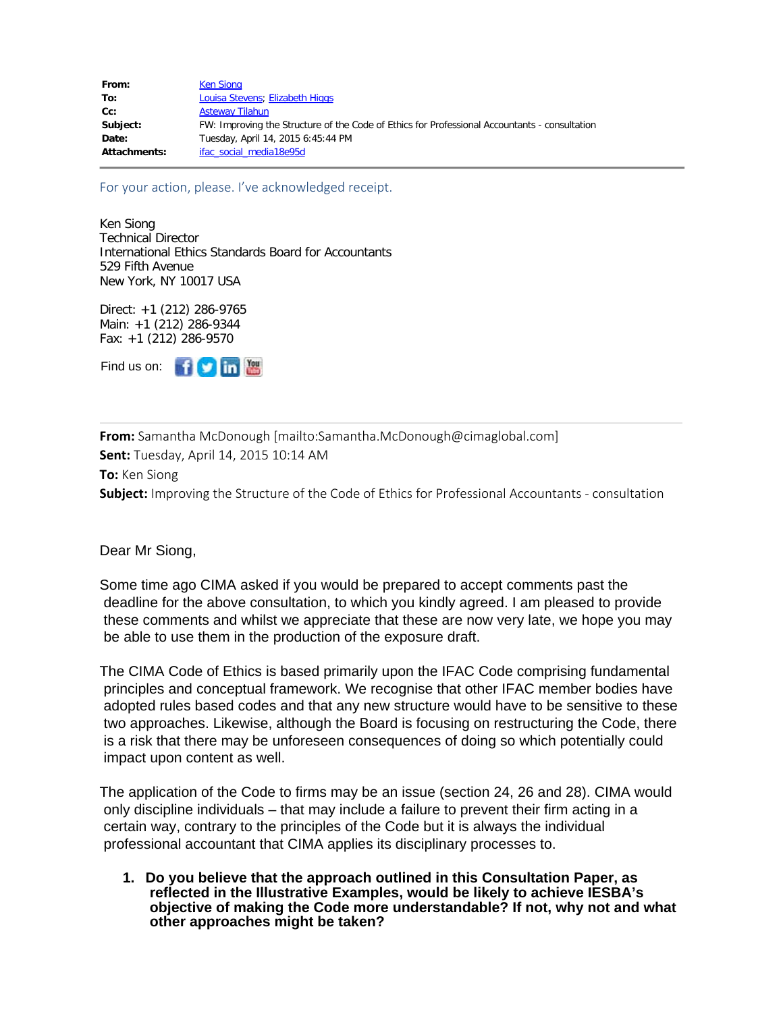**From:** Samantha McDonough [mailto:Samantha.McDonough@cimaglobal.com] **Sent:** Tuesday, April 14, 2015 10:14 AM **To:** Ken Siong **Subject:** Improving the Structure of the Code of Ethics for Professional Accountants - consultation

Dear Mr Siong,

Some time ago CIMA asked if you would be prepared to accept comments past the deadline for the above consultation, to which you kindly agreed. I am pleased to provide these comments and whilst we appreciate that these are now very late, we hope you may be able to use them in the production of the exposure draft.

The CIMA Code of Ethics is based primarily upon the IFAC Code comprising fundamental principles and conceptual framework. We recognise that other IFAC member bodies have adopted rules based codes and that any new structure would have to be sensitive to these two approaches. Likewise, although the Board is focusing on restructuring the Code, there is a risk that there may be unforeseen consequences of doing so which potentially could impact upon content as well.

The application of the Code to firms may be an issue (section 24, 26 and 28). CIMA would only discipline individuals – that may include a failure to prevent their firm acting in a certain way, contrary to the principles of the Code but it is always the individual professional accountant that CIMA applies its disciplinary processes to.

**1. Do you believe that the approach outlined in this Consultation Paper, as reflected in the Illustrative Examples, would be likely to achieve IESBA's objective of making the Code more understandable? If not, why not and what other approaches might be taken?**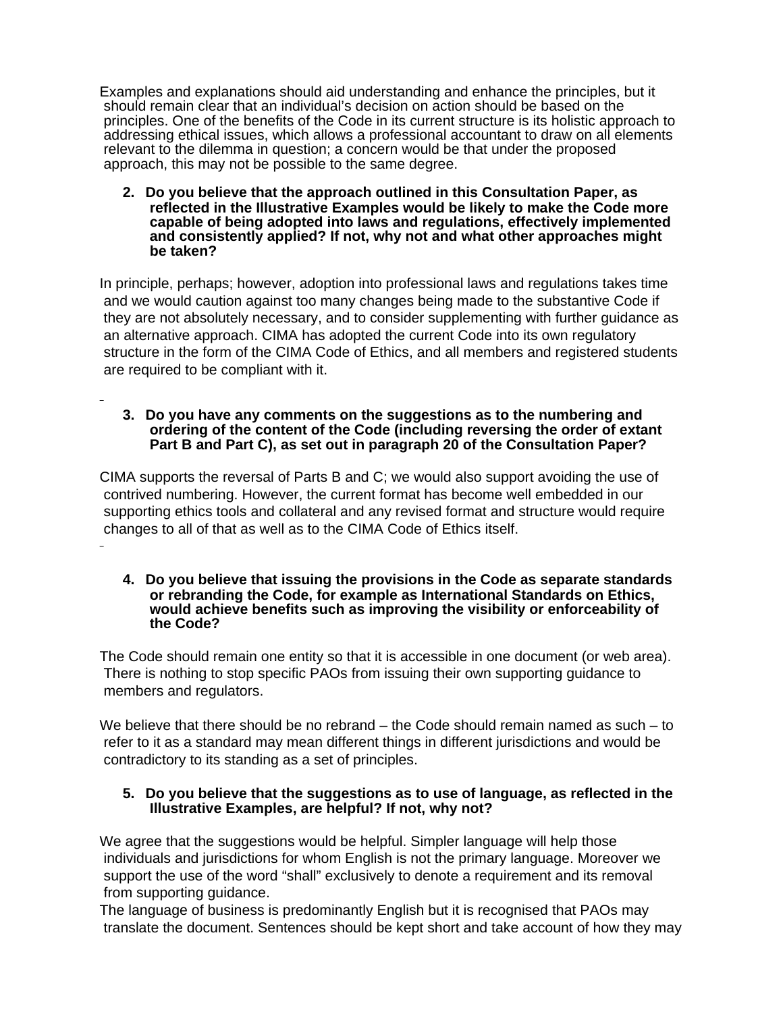Examples and explanations should aid understanding and enhance the principles, but it should remain clear that an individual's decision on action should be based on the principles. One of the benefits of the Code in its current structure is its holistic approach to addressing ethical issues, which allows a professional accountant to draw on all elements relevant to the dilemma in question; a concern would be that under the proposed approach, this may not be possible to the same degree.

**2. Do you believe that the approach outlined in this Consultation Paper, as reflected in the Illustrative Examples would be likely to make the Code more capable of being adopted into laws and regulations, effectively implemented and consistently applied? If not, why not and what other approaches might be taken?**

In principle, perhaps; however, adoption into professional laws and regulations takes time and we would caution against too many changes being made to the substantive Code if they are not absolutely necessary, and to consider supplementing with further guidance as an alternative approach. CIMA has adopted the current Code into its own regulatory structure in the form of the CIMA Code of Ethics, and all members and registered students are required to be compliant with it.

#### **3. Do you have any comments on the suggestions as to the numbering and ordering of the content of the Code (including reversing the order of extant Part B and Part C), as set out in paragraph 20 of the Consultation Paper?**

CIMA supports the reversal of Parts B and C; we would also support avoiding the use of contrived numbering. However, the current format has become well embedded in our supporting ethics tools and collateral and any revised format and structure would require changes to all of that as well as to the CIMA Code of Ethics itself.

#### **4. Do you believe that issuing the provisions in the Code as separate standards or rebranding the Code, for example as International Standards on Ethics, would achieve benefits such as improving the visibility or enforceability of the Code?**

The Code should remain one entity so that it is accessible in one document (or web area). There is nothing to stop specific PAOs from issuing their own supporting guidance to members and regulators.

We believe that there should be no rebrand – the Code should remain named as such – to refer to it as a standard may mean different things in different jurisdictions and would be contradictory to its standing as a set of principles.

## **5. Do you believe that the suggestions as to use of language, as reflected in the Illustrative Examples, are helpful? If not, why not?**

We agree that the suggestions would be helpful. Simpler language will help those individuals and jurisdictions for whom English is not the primary language. Moreover we support the use of the word "shall" exclusively to denote a requirement and its removal from supporting guidance.

The language of business is predominantly English but it is recognised that PAOs may translate the document. Sentences should be kept short and take account of how they may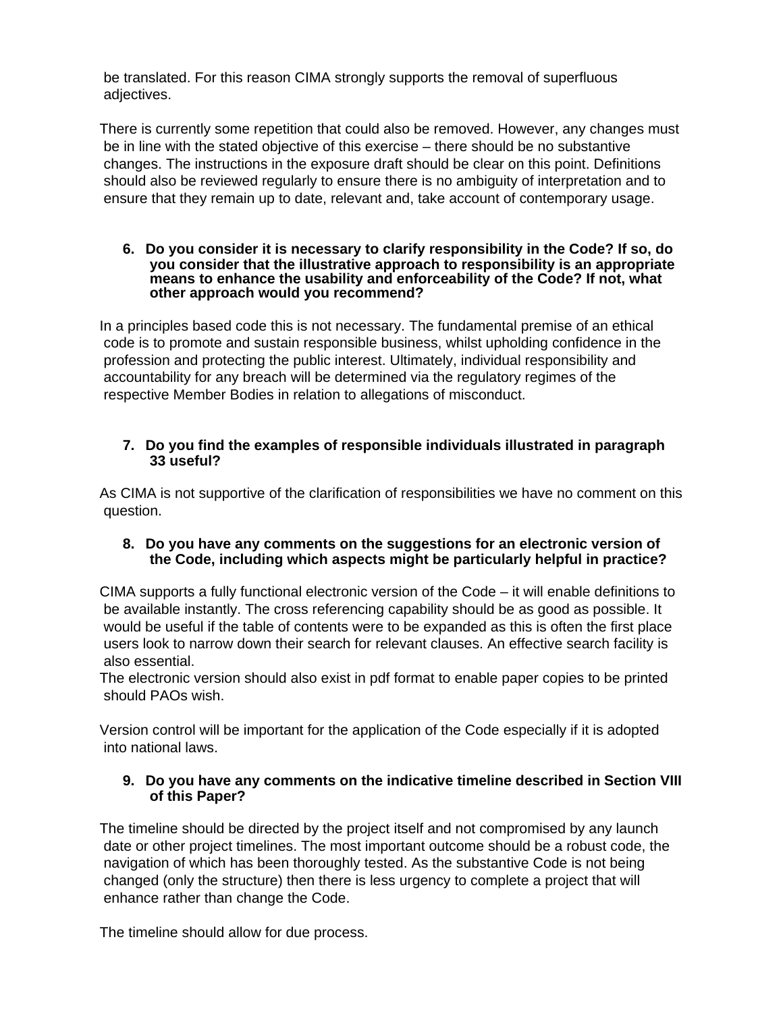be translated. For this reason CIMA strongly supports the removal of superfluous adjectives.

There is currently some repetition that could also be removed. However, any changes must be in line with the stated objective of this exercise – there should be no substantive changes. The instructions in the exposure draft should be clear on this point. Definitions should also be reviewed regularly to ensure there is no ambiguity of interpretation and to ensure that they remain up to date, relevant and, take account of contemporary usage.

#### **6. Do you consider it is necessary to clarify responsibility in the Code? If so, do you consider that the illustrative approach to responsibility is an appropriate means to enhance the usability and enforceability of the Code? If not, what other approach would you recommend?**

In a principles based code this is not necessary. The fundamental premise of an ethical code is to promote and sustain responsible business, whilst upholding confidence in the profession and protecting the public interest. Ultimately, individual responsibility and accountability for any breach will be determined via the regulatory regimes of the respective Member Bodies in relation to allegations of misconduct.

## **7. Do you find the examples of responsible individuals illustrated in paragraph 33 useful?**

As CIMA is not supportive of the clarification of responsibilities we have no comment on this question.

## **8. Do you have any comments on the suggestions for an electronic version of the Code, including which aspects might be particularly helpful in practice?**

CIMA supports a fully functional electronic version of the Code – it will enable definitions to be available instantly. The cross referencing capability should be as good as possible. It would be useful if the table of contents were to be expanded as this is often the first place users look to narrow down their search for relevant clauses. An effective search facility is also essential.

The electronic version should also exist in pdf format to enable paper copies to be printed should PAOs wish.

Version control will be important for the application of the Code especially if it is adopted into national laws.

## **9. Do you have any comments on the indicative timeline described in Section VIII of this Paper?**

The timeline should be directed by the project itself and not compromised by any launch date or other project timelines. The most important outcome should be a robust code, the navigation of which has been thoroughly tested. As the substantive Code is not being changed (only the structure) then there is less urgency to complete a project that will enhance rather than change the Code.

The timeline should allow for due process.